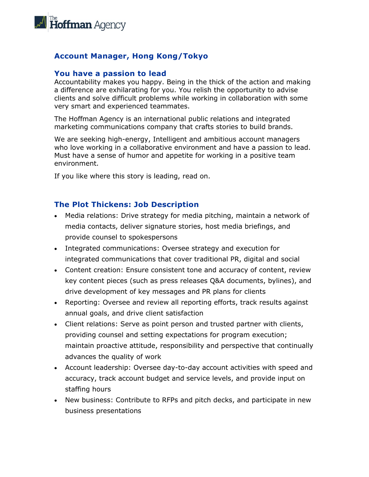

## **Account Manager, Hong Kong/Tokyo**

#### **You have a passion to lead**

Accountability makes you happy. Being in the thick of the action and making a difference are exhilarating for you. You relish the opportunity to advise clients and solve difficult problems while working in collaboration with some very smart and experienced teammates.

The Hoffman Agency is an international public relations and integrated marketing communications company that crafts stories to build brands.

We are seeking high-energy, Intelligent and ambitious account managers who love working in a collaborative environment and have a passion to lead. Must have a sense of humor and appetite for working in a positive team environment.

If you like where this story is leading, read on.

#### **The Plot Thickens: Job Description**

- Media relations: Drive strategy for media pitching, maintain a network of media contacts, deliver signature stories, host media briefings, and provide counsel to spokespersons
- Integrated communications: Oversee strategy and execution for integrated communications that cover traditional PR, digital and social
- Content creation: Ensure consistent tone and accuracy of content, review key content pieces (such as press releases Q&A documents, bylines), and drive development of key messages and PR plans for clients
- Reporting: Oversee and review all reporting efforts, track results against annual goals, and drive client satisfaction
- Client relations: Serve as point person and trusted partner with clients, providing counsel and setting expectations for program execution; maintain proactive attitude, responsibility and perspective that continually advances the quality of work
- Account leadership: Oversee day-to-day account activities with speed and accuracy, track account budget and service levels, and provide input on staffing hours
- New business: Contribute to RFPs and pitch decks, and participate in new business presentations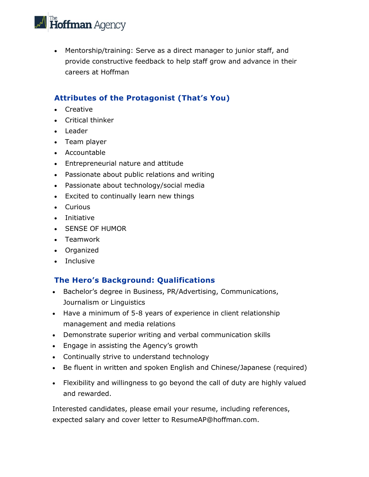

• Mentorship/training: Serve as a direct manager to junior staff, and provide constructive feedback to help staff grow and advance in their careers at Hoffman

# **Attributes of the Protagonist (That's You)**

- Creative
- Critical thinker
- Leader
- Team player
- Accountable
- Entrepreneurial nature and attitude
- Passionate about public relations and writing
- Passionate about technology/social media
- Excited to continually learn new things
- Curious
- Initiative
- SENSE OF HUMOR
- Teamwork
- Organized
- Inclusive

### **The Hero's Background: Qualifications**

- Bachelor's degree in Business, PR/Advertising, Communications, Journalism or Linguistics
- Have a minimum of 5-8 years of experience in client relationship management and media relations
- Demonstrate superior writing and verbal communication skills
- Engage in assisting the Agency's growth
- Continually strive to understand technology
- Be fluent in written and spoken English and Chinese/Japanese (required)
- Flexibility and willingness to go beyond the call of duty are highly valued and rewarded.

Interested candidates, please email your resume, including references, expected salary and cover letter to ResumeAP@hoffman.com.